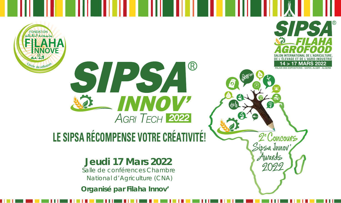



. .

**SALON INTERNATIONAL DE L'AGRICULTURE,**  AGROFOOD

**SIPSA** 

<code>MARS 2022</code>

**DE L'ÉLEVAGE ET DE L'AGRO-INDUSTRIE**

PALAIS DES EXPOSITIONS - SAFEX, ALGER - ALGERIE

2<sup>e</sup> Concours

idsa Junov

Auravals

## **LE SIPSA RÉCOMPENSE VOTRE CRÉATIVITÉ!**

#### **Jeudi 17 Mars 2022**

Salle de conférences Chambre National d'Agriculture (CNA)

**Organisé par Filaha Innov'**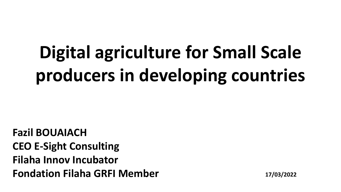# **Digital agriculture for Small Scale producers in developing countries**

**Fazil BOUAIACH CEO E-Sight Consulting Filaha Innov Incubator Fondation Filaha GRFI Member 17/03/2022**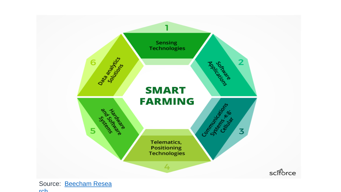

rch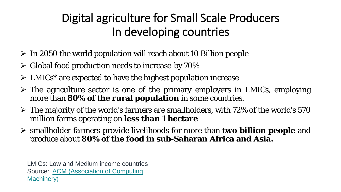## Digital agriculture for Small Scale Producers In developing countries

- In 2050 the world population will reach about 10 Billion people
- $\triangleright$  Global food production needs to increase by 70%
- ▶ LMICs\* are expected to have the highest population increase
- The agriculture sector is one of the primary employers in LMICs, employing more than **80% of the rural population** in some countries.
- $\triangleright$  The majority of the world's farmers are smallholders, with 72% of the world's 570 million farms operating on **less than 1 hectare**
- smallholder farmers provide livelihoods for more than **two billion people** and produce about **80% of the food in sub-Saharan Africa and Asia.**

LMICs: Low and Medium income countries Source: ACM (Association of Computing Machinery)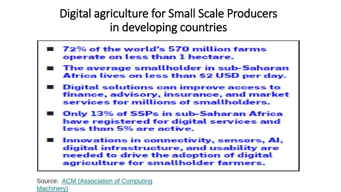Digital agriculture for Small Scale Producers in developing countries

- 72% of the world's 570 million farms operate on less than 1 hectare.
- The average smallholder in sub-Saharan Africa lives on less than \$2 USD per day.
- Digital solutions can improve access to finance, advisory, insurance, and market services for millions of smallholders.
- Only 13% of SSPs in sub-Saharan Africa have registered for digital services and less than 5% are active.
- Innovations in connectivity, sensors, AI, digital infrastructure, and usability are needed to drive the adoption of digital agriculture for smallholder farmers.

Source: ACM (Association of Computing Machinery)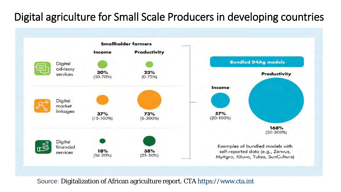#### Digital agriculture for Small Scale Producers in developing countries



Source: Digitalization of African agriculture report. *CTA* https://www.cta.int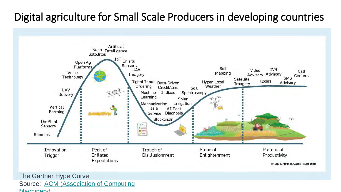#### Digital agriculture for Small Scale Producers in developing countries



The Gartner Hype Curve Source: ACM (Association of Computing Machinery)